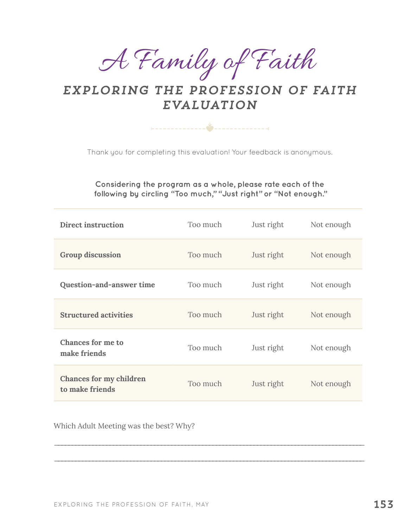A Family of Faith

## *exploring the profession of faith Evaluation*

+--------------<sup>></sup>---------------+

Thank you for completing this evaluation! Your feedback is anonymous.

## **Considering the program as a whole, please rate each of the following by circling "Too much," "Just right" or "Not enough."**

| Direct instruction                         | Too much | Just right | Not enough |
|--------------------------------------------|----------|------------|------------|
| <b>Group discussion</b>                    | Too much | Just right | Not enough |
| Question-and-answer time                   | Too much | Just right | Not enough |
| <b>Structured activities</b>               | Too much | Just right | Not enough |
| <b>Chances for me to</b><br>make friends   | Too much | Just right | Not enough |
| Chances for my children<br>to make friends | Too much | Just right | Not enough |

\_\_\_\_\_\_\_\_\_\_\_\_\_\_\_\_\_\_\_\_\_\_\_\_\_\_\_\_\_\_\_\_\_\_\_\_\_\_\_\_\_\_\_\_\_\_\_\_\_\_\_\_\_\_\_\_\_\_\_\_\_\_\_\_\_\_\_\_\_\_\_\_\_\_\_\_\_\_\_\_\_\_\_\_\_\_\_\_\_\_

\_\_\_\_\_\_\_\_\_\_\_\_\_\_\_\_\_\_\_\_\_\_\_\_\_\_\_\_\_\_\_\_\_\_\_\_\_\_\_\_\_\_\_\_\_\_\_\_\_\_\_\_\_\_\_\_\_\_\_\_\_\_\_\_\_\_\_\_\_\_\_\_\_\_\_\_\_\_\_\_\_\_\_\_\_\_\_\_\_\_

Which Adult Meeting was the best? Why?